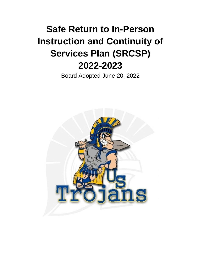# **Safe Return to In-Person Instruction and Continuity of Services Plan (SRCSP) 2022-2023**

Board Adopted June 20, 2022

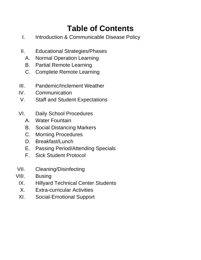## **Table of Contents**

- I. Introduction & Communicable Disease Policy
- II. Educational Strategies/Phases
	- A. Normal Operation Learning
	- B. Partial Remote Learning
	- C. Complete Remote Learning
- III. Pandemic/Inclement Weather
- IV. Communication
- V. Staff and Student Expectations
- VI. Daily School Procedures
	- A. Water Fountain
	- B. Social Distancing Markers
	- C. Morning Procedures
	- D. Breakfast/Lunch
	- E. Passing Period/Attending Specials
	- F. Sick Student Protocol
- VII. Cleaning/Disinfecting
- VIII. Busing
	- IX. Hillyard Technical Center Students
	- X. Extra-curricular Activities
	- XI. Social-Emotional Support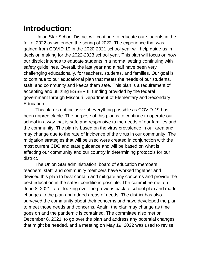### **Introduction:**

Union Star School District will continue to educate our students in the fall of 2022 as we ended the spring of 2022. The experience that was gained from COVID-19 in the 2020-2021 school year will help guide us in decision making for the 2022-2023 school year. This plan will focus on how our district intends to educate students in a normal setting continuing with safety guidelines. Overall, the last year and a half have been very challenging educationally, for teachers, students, and families. Our goal is to continue to our educational plan that meets the needs of our students, staff, and community and keeps them safe. This plan is a requirement of accepting and utilizing ESSER III funding provided by the federal government through Missouri Department of Elementary and Secondary Education.

This plan is not inclusive of everything possible as COVID-19 has been unpredictable. The purpose of this plan is to continue to operate our school in a way that is safe and responsive to the needs of our families and the community. The plan is based on the virus prevalence in our area and may change due to the rate of incidence of the virus in our community. The mitigation strategies that will be used were created in conjunction with the most current CDC and state guidance and will be based on what is affecting our community and our country in determining protocols for our district.

The Union Star administration, board of education members, teachers, staff, and community members have worked together and devised this plan to best contain and mitigate any concerns and provide the best education in the safest conditions possible. The committee met on June 8, 2021, after looking over the previous back to school plan and made changes to the plan and added areas of needs. The district has also surveyed the community about their concerns and have developed the plan to meet those needs and concerns. Again, the plan may change as time goes on and the pandemic is contained. The committee also met on December 8, 2021, to go over the plan and address any potential changes that might be needed, and a meeting on May 19, 2022 was used to revise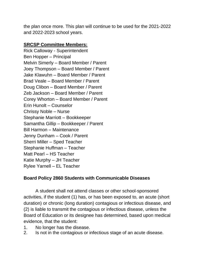the plan once more. This plan will continue to be used for the 2021-2022 and 2022-2023 school years.

#### **SRCSP Committee Members:**

Rick Calloway - Superintendent Ben Hopper – Principal Melvin Simerly – Board Member / Parent Joey Thompson – Board Member / Parent Jake Klawuhn – Board Member / Parent Brad Veale – Board Member / Parent Doug Clibon – Board Member / Parent Zeb Jackson – Board Member / Parent Corey Whorton – Board Member / Parent Erin Hunolt – Counselor Chrissy Noble – Nurse Stephanie Marriott – Bookkeeper Samantha Gillip – Bookkeeper / Parent Bill Harmon – Maintenance Jenny Dunham – Cook / Parent Sherri Miller – Sped Teacher Stephanie Huffman – Teacher Matt Pearl – HS Teacher Katie Murphy – JH Teacher Rylee Yarnell – EL Teacher

#### **Board Policy 2860 Students with Communicable Diseases**

A student shall not attend classes or other school-sponsored activities, if the student (1) has, or has been exposed to, an acute (short duration) or chronic (long duration) contagious or infectious disease, and (2) is liable to transmit the contagious or infectious disease, unless the Board of Education or its designee has determined, based upon medical evidence, that the student:

- 1. No longer has the disease.
- 2. Is not in the contagious or infectious stage of an acute disease.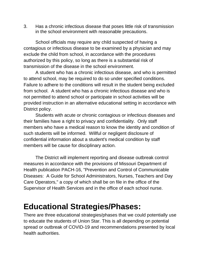3. Has a chronic infectious disease that poses little risk of transmission in the school environment with reasonable precautions.

School officials may require any child suspected of having a contagious or infectious disease to be examined by a physician and may exclude the child from school, in accordance with the procedures authorized by this policy, so long as there is a substantial risk of transmission of the disease in the school environment.

A student who has a chronic infectious disease, and who is permitted to attend school, may be required to do so under specified conditions. Failure to adhere to the conditions will result in the student being excluded from school. A student who has a chronic infectious disease and who is not permitted to attend school or participate in school activities will be provided instruction in an alternative educational setting in accordance with District policy.

Students with acute or chronic contagious or infectious diseases and their families have a right to privacy and confidentiality. Only staff members who have a medical reason to know the identity and condition of such students will be informed. Willful or negligent disclosure of confidential information about a student's medical condition by staff members will be cause for disciplinary action.

The District will implement reporting and disease outbreak control measures in accordance with the provisions of Missouri Department of Health publication PACH-16, "Prevention and Control of Communicable Diseases: A Guide for School Administrators, Nurses, Teachers and Day Care Operators," a copy of which shall be on file in the office of the Supervisor of Health Services and in the office of each school nurse.

#### **Educational Strategies/Phases:**

There are three educational strategies/phases that we could potentially use to educate the students of Union Star. This is all depending on potential spread or outbreak of COVID-19 and recommendations presented by local health authorities.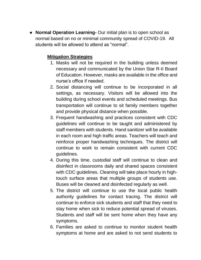● **Normal Operation Learning-** Our initial plan is to open school as normal based on no or minimal community spread of COVID-19. All students will be allowed to attend as "normal".

#### **Mitigation Strategies**

- 1. Masks will not be required in the building unless deemed necessary and communicated by the Union Star R-II Board of Education. However, masks are available in the office and nurse's office if needed.
- 2. Social distancing will continue to be incorporated in all settings, as necessary. Visitors will be allowed into the building during school events and scheduled meetings. Bus transportation will continue to sit family members together and provide physical distance when possible.
- 3. Frequent handwashing and practices consistent with CDC guidelines will continue to be taught and administered by staff members with students. Hand sanitizer will be available in each room and high traffic areas. Teachers will teach and reinforce proper handwashing techniques. The district will continue to work to remain consistent with current CDC guidelines.
- 4. During this time, custodial staff will continue to clean and disinfect in classrooms daily and shared spaces consistent with CDC guidelines. Cleaning will take place hourly in hightouch surface areas that multiple groups of students use. Buses will be cleaned and disinfected regularly as well.
- 5. The district will continue to use the local public health authority guidelines for contact tracing. The district will continue to enforce sick students and staff that they need to stay home when sick to reduce potential spread of viruses. Students and staff will be sent home when they have any symptoms.
- 6. Families are asked to continue to monitor student health symptoms at home and are asked to not send students to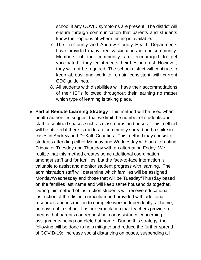school if any COVID symptoms are present. The district will ensure through communication that parents and students know their options of where testing is available.

- 7. The Tri-County and Andrew County Health Departments have provided many free vaccinations in our community. Members of the community are encouraged to get vaccinated if they feel it meets their best interest. However, they will not be required. The school district will continue to keep abreast and work to remain consistent with current CDC guidelines.
- 8. All students with disabilities will have their accommodations of their IEPs followed throughout their learning no matter which type of learning is taking place.
- **Partial Remote Learning Strategy** This method will be used when health authorities suggest that we limit the number of students and staff to confined spaces such as classrooms and buses. This method will be utilized if there is moderate community spread and a spike in cases in Andrew and DeKalb Counties. This method may consist of students attending either Monday and Wednesday with an alternating Friday, or Tuesday and Thursday with an alternating Friday. We realize that this method creates some additional coordination amongst staff and for families, but the face-to-face interaction is valuable to assist and monitor student progress with learning. The administration staff will determine which families will be assigned Monday/Wednesday and those that will be Tuesday/Thursday based on the families last name and will keep same households together. During this method of instruction students will receive educational instruction of the district curriculum and provided with additional resources and instruction to complete work independently, at home, on days not in school. It is our expectation that teachers provide a means that parents can request help or assistance concerning assignments being completed at home. During this strategy, the following will be done to help mitigate and reduce the further spread of COVID-19: increase social distancing on buses, suspending all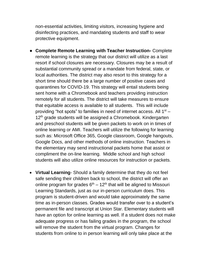non-essential activities, limiting visitors, increasing hygiene and disinfecting practices, and mandating students and staff to wear protective equipment.

- **Complete Remote Learning with Teacher Instruction-** Complete remote learning is the strategy that our district will utilize as a last resort if school closures are necessary. Closures may be a result of substantial community spread or a mandate from federal, state, or local authorities. The district may also resort to this strategy for a short time should there be a large number of positive cases and quarantines for COVID-19. This strategy will entail students being sent home with a Chromebook and teachers providing instruction remotely for all students. The district will take measures to ensure that equitable access is available to all students. This will include providing "hot spots" to families in need of internet access. All  $1<sup>st</sup>$  – 12<sup>th</sup> grade students will be assigned a Chromebook. Kindergarten and preschool students will be given packets to work on in times of online learning or AMI. Teachers will utilize the following for learning such as: Microsoft Office 365, Google classroom, Google hangouts, Google Docs, and other methods of online instruction. Teachers in the elementary may send instructional packets home that assist or compliment the on-line learning. Middle school and high school students will also utilize online resources for instruction or packets.
- **Virtual Learning** Should a family determine that they do not feel safe sending their children back to school, the district will offer an online program for grades  $6<sup>th</sup> - 12<sup>th</sup>$  that will be aligned to Missouri Learning Standards, just as our in-person curriculum does. This program is student-driven and would take approximately the same time as in-person classes. Grades would transfer over to a student's permanent file and transcript at Union Star. Elementary students will have an option for online learning as well. If a student does not make adequate progress or has failing grades in the program, the school will remove the student from the virtual program. Changes for students from online to in person learning will only take place at the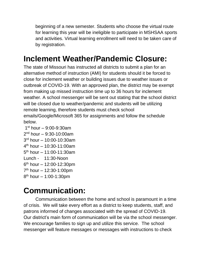beginning of a new semester. Students who choose the virtual route for learning this year will be ineligible to participate in MSHSAA sports and activities. Virtual learning enrollment will need to be taken care of by registration.

## **Inclement Weather/Pandemic Closure:**

The state of Missouri has instructed all districts to submit a plan for an alternative method of instruction (AMI) for students should it be forced to close for inclement weather or building issues due to weather issues or outbreak of COVID-19. With an approved plan, the district may be exempt from making up missed instruction time up to 36 hours for inclement weather. A school messenger will be sent out stating that the school district will be closed due to weather/pandemic and students will be utilizing remote learning, therefore students must check school emails/Google/Microsoft 365 for assignments and follow the schedule below.

 st hour – 9:00-9:30am 2<sup>nd</sup> hour – 9:30-10:00am rd hour – 10:00-10:30am th hour – 10:30-11:00am th hour – 11:00-11:30am Lunch - 11:30-Noon th hour – 12:00-12:30pm th hour – 12:30-1:00pm 8<sup>th</sup> hour – 1:00-1:30pm

# **Communication:**

Communication between the home and school is paramount in a time of crisis. We will take every effort as a district to keep students, staff, and patrons informed of changes associated with the spread of COVID-19. Our district's main form of communication will be via the school messenger. We encourage families to sign up and utilize this service. The school messenger will feature messages or messages with instructions to check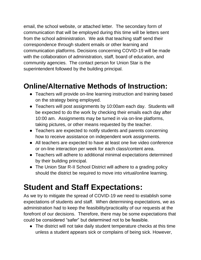email, the school website, or attached letter. The secondary form of communication that will be employed during this time will be letters sent from the school administration. We ask that teaching staff send their correspondence through student emails or other learning and communication platforms. Decisions concerning COVID-19 will be made with the collaboration of administration, staff, board of education, and community agencies. The contact person for Union Star is the superintendent followed by the building principal.

#### **Online/Alternative Methods of Instruction:**

- Teachers will provide on-line learning instruction and training based on the strategy being employed.
- Teachers will post assignments by 10:00am each day. Students will be expected to do the work by checking their emails each day after 10:00 am. Assignments may be turned in via on-line platforms, taking pictures, or other means requested by the teacher.
- Teachers are expected to notify students and parents concerning how to receive assistance on independent work assignments.
- All teachers are expected to have at least one live video conference or on-line interaction per week for each class/content area.
- Teachers will adhere to additional minimal expectations determined by their building principal.
- The Union Star R-II School District will adhere to a grading policy should the district be required to move into virtual/online learning.

### **Student and Staff Expectations:**

As we try to mitigate the spread of COVID-19 we need to establish some expectations of students and staff. When determining expectations, we as administration had to keep the feasibility/practicality of our requests at the forefront of our decisions. Therefore, there may be some expectations that could be considered "safer" but determined not to be feasible.

● The district will not take daily student temperature checks at this time unless a student appears sick or complains of being sick. However,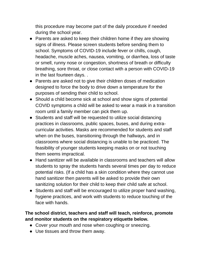this procedure may become part of the daily procedure if needed during the school year.

- Parents are asked to keep their children home if they are showing signs of illness. Please screen students before sending them to school. Symptoms of COVID-19 include fever or chills, cough, headache, muscle aches, nausea, vomiting, or diarrhea, loss of taste or smell, runny nose or congestion, shortness of breath or difficulty breathing, sore throat, or close contact with a person with COVID-19 in the last fourteen days. .
- Parents are asked not to give their children doses of medication designed to force the body to drive down a temperature for the purposes of sending their child to school.
- Should a child become sick at school and show signs of potential COVID symptoms a child will be asked to wear a mask in a transition room until a family member can pick them up.
- Students and staff will be requested to utilize social distancing practices in classrooms, public spaces, buses, and during extracurricular activities. Masks are recommended for students and staff when on the buses, transitioning through the hallways, and in classrooms where social distancing is unable to be practiced. The feasibility of younger students keeping masks on or not touching them seems impractical.
- Hand sanitizer will be available in classrooms and teachers will allow students to spray the students hands several times per day to reduce potential risks. (If a child has a skin condition where they cannot use hand sanitizer then parents will be asked to provide their own sanitizing solution for their child to keep their child safe at school.
- Students and staff will be encouraged to utilize proper hand washing, hygiene practices, and work with students to reduce touching of the face with hands.

#### **The school district, teachers and staff will teach, reinforce, promote and monitor students on the respiratory etiquette below.**

- Cover your mouth and nose when coughing or sneezing.
- Use tissues and throw them away.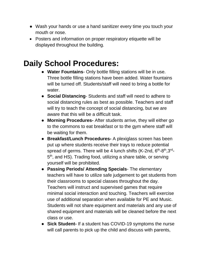- Wash your hands or use a hand sanitizer every time you touch your mouth or nose.
- Posters and information on proper respiratory etiquette will be displayed throughout the building.

### **Daily School Procedures:**

- **Water Fountains** Only bottle filling stations will be in use. Three bottle filling stations have been added. Water fountains will be turned off. Students/staff will need to bring a bottle for water.
- **Social Distancing** Students and staff will need to adhere to social distancing rules as best as possible. Teachers and staff will try to teach the concept of social distancing, but we are aware that this will be a difficult task.
- **Morning Procedures-** After students arrive, they will either go to the commons to eat breakfast or to the gym where staff will be waiting for them.
- **Breakfast/Lunch Procedures-** A plexiglass screen has been put up where students receive their trays to reduce potential spread of germs. There will be 4 lunch shifts (K-2nd, 6<sup>th</sup>-8<sup>th</sup>,3<sup>rd</sup>-5<sup>th</sup>, and HS). Trading food, utilizing a share table, or serving yourself will be prohibited.
- **Passing Periods/ Attending Specials** The elementary teachers will have to utilize safe judgement to get students from their classrooms to special classes throughout the day. Teachers will instruct and supervised games that require minimal social interaction and touching. Teachers will exercise use of additional separation when available for PE and Music. Students will not share equipment and materials and any use of shared equipment and materials will be cleaned before the next class or use.
- **Sick Student-** If a student has COVID-19 symptoms the nurse will call parents to pick up the child and discuss with parents,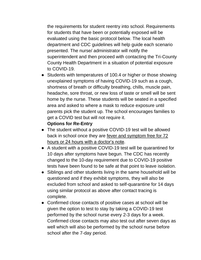the requirements for student reentry into school. Requirements for students that have been or potentially exposed will be evaluated using the basic protocol below. The local health department and CDC guidelines will help guide each scenario presented. The nurse/ administrator will notify the superintendent and then proceed with contacting the Tri-County County Health Department in a situation of potential exposure to COVID-19.

• Students with temperatures of 100.4 or higher or those showing unexplained symptoms of having COVID-19 such as a cough, shortness of breath or difficulty breathing, chills, muscle pain, headache, sore throat, or new loss of taste or smell will be sent home by the nurse. These students will be seated in a specified area and asked to where a mask to reduce exposure until parents pick the student up. The school encourages families to get a COVID test but will not require it.

#### **Options for Re-Entry**

- The student without a positive COVID-19 test will be allowed back in school once they are fever and symptom free for 72 hours or 24 hours with a doctor's note.
- A student with a positive COVID-19 test will be quarantined for 10 days after symptoms have begun. The CDC has recently changed to the 10-day requirement due to COVID-19 positive tests have been found to be safe at that point to leave isolation.
- Siblings and other students living in the same household will be questioned and if they exhibit symptoms, they will also be excluded from school and asked to self-quarantine for 14 days using similar protocol as above after contact tracing is complete.
- Confirmed close contacts of positive cases at school will be given the option to test to stay by taking a COVID-19 test performed by the school nurse every 2-3 days for a week. Confirmed close contacts may also test out after seven days as well which will also be performed by the school nurse before school after the 7-day period.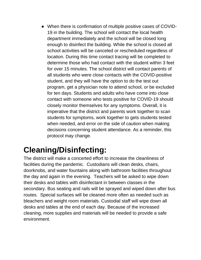● When there is confirmation of multiple positive cases of COVID-19 in the building. The school will contact the local health department immediately and the school will be closed long enough to disinfect the building. While the school is closed all school activities will be canceled or rescheduled regardless of location. During this time contact tracing will be completed to determine those who had contact with the student within 3 feet for over 15 minutes. The school district will contact parents of all students who were close contacts with the COVID-positive student, and they will have the option to do the test out program, get a physician note to attend school, or be excluded for ten days. Students and adults who have come into close contact with someone who tests positive for COVID-19 should closely monitor themselves for any symptoms. Overall, it is imperative that the district and parents work together to scan students for symptoms, work together to gets students tested when needed, and error on the side of caution when making decisions concerning student attendance. As a reminder, this protocol may change.

## **Cleaning/Disinfecting:**

The district will make a concerted effort to increase the cleanliness of facilities during the pandemic. Custodians will clean desks, chairs, doorknobs, and water fountains along with bathroom facilities throughout the day and again in the evening. Teachers will be asked to wipe down their desks and tables with disinfectant in between classes in the secondary. Bus seating and rails will be sprayed and wiped down after bus routes. Special surfaces will be cleaned more often as needed such as bleachers and weight room materials. Custodial staff will wipe down all desks and tables at the end of each day. Because of the increased cleaning, more supplies and materials will be needed to provide a safe environment.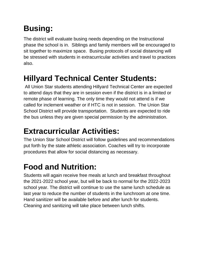# **Busing:**

The district will evaluate busing needs depending on the Instructional phase the school is in. Siblings and family members will be encouraged to sit together to maximize space. Busing protocols of social distancing will be stressed with students in extracurricular activities and travel to practices also.

### **Hillyard Technical Center Students:**

All Union Star students attending Hillyard Technical Center are expected to attend days that they are in session even if the district is in a limited or remote phase of learning. The only time they would not attend is if we called for inclement weather or if HTC is not in session. The Union Star School District will provide transportation. Students are expected to ride the bus unless they are given special permission by the administration.

## **Extracurricular Activities:**

The Union Star School District will follow guidelines and recommendations put forth by the state athletic association. Coaches will try to incorporate procedures that allow for social distancing as necessary.

# **Food and Nutrition:**

Students will again receive free meals at lunch and breakfast throughout the 2021-2022 school year, but will be back to normal for the 2022-2023 school year. The district will continue to use the same lunch schedule as last year to reduce the number of students in the lunchroom at one time. Hand sanitizer will be available before and after lunch for students. Cleaning and sanitizing will take place between lunch shifts.